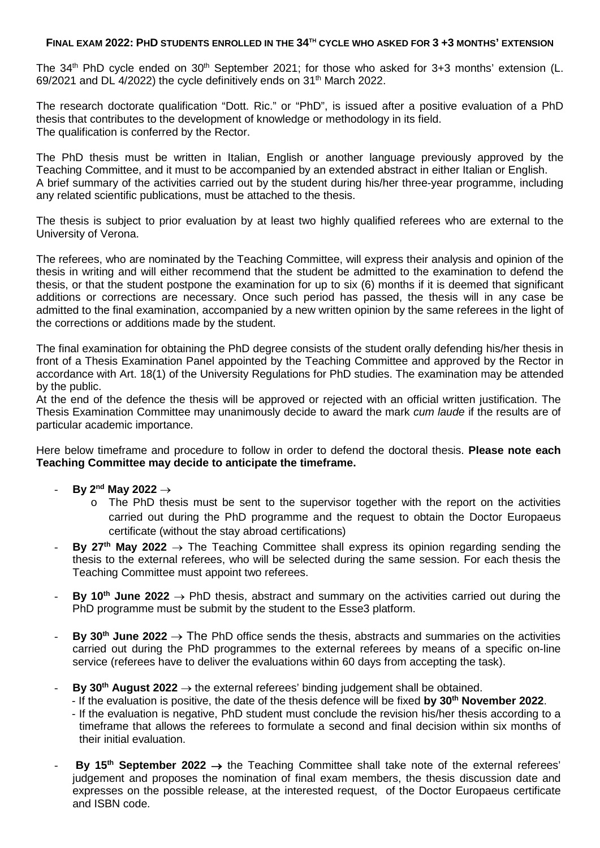## **FINAL EXAM 2022: PHD STUDENTS ENROLLED IN THE 34TH CYCLE WHO ASKED FOR 3 +3 MONTHS' EXTENSION**

The  $34<sup>th</sup>$  PhD cycle ended on  $30<sup>th</sup>$  September 2021; for those who asked for  $3+3$  months' extension (L. 69/2021 and DL 4/2022) the cycle definitively ends on 31th March 2022.

The research doctorate qualification "Dott. Ric." or "PhD", is issued after a positive evaluation of a PhD thesis that contributes to the development of knowledge or methodology in its field. The qualification is conferred by the Rector.

The PhD thesis must be written in Italian, English or another language previously approved by the Teaching Committee, and it must to be accompanied by an extended abstract in either Italian or English. A brief summary of the activities carried out by the student during his/her three-year programme, including any related scientific publications, must be attached to the thesis.

The thesis is subject to prior evaluation by at least two highly qualified referees who are external to the University of Verona.

The referees, who are nominated by the Teaching Committee, will express their analysis and opinion of the thesis in writing and will either recommend that the student be admitted to the examination to defend the thesis, or that the student postpone the examination for up to six (6) months if it is deemed that significant additions or corrections are necessary. Once such period has passed, the thesis will in any case be admitted to the final examination, accompanied by a new written opinion by the same referees in the light of the corrections or additions made by the student.

The final examination for obtaining the PhD degree consists of the student orally defending his/her thesis in front of a Thesis Examination Panel appointed by the Teaching Committee and approved by the Rector in accordance with Art. 18(1) of the University Regulations for PhD studies. The examination may be attended by the public.

At the end of the defence the thesis will be approved or rejected with an official written justification. The Thesis Examination Committee may unanimously decide to award the mark *cum laude* if the results are of particular academic importance.

Here below timeframe and procedure to follow in order to defend the doctoral thesis. **Please note each Teaching Committee may decide to anticipate the timeframe.**

- **By 2nd May 2022** →
	- $\circ$  The PhD thesis must be sent to the supervisor together with the report on the activities carried out during the PhD programme and the request to obtain the Doctor Europaeus certificate (without the stay abroad certifications)
- **By 27<sup>th</sup> May 2022**  $\rightarrow$  The Teaching Committee shall express its opinion regarding sending the thesis to the external referees, who will be selected during the same session. For each thesis the Teaching Committee must appoint two referees.
- **By 10<sup>th</sup> June 2022**  $\rightarrow$  PhD thesis, abstract and summary on the activities carried out during the PhD programme must be submit by the student to the Esse3 platform.
- **By 30<sup>th</sup> June 2022** → The PhD office sends the thesis, abstracts and summaries on the activities carried out during the PhD programmes to the external referees by means of a specific on-line service (referees have to deliver the evaluations within 60 days from accepting the task).
- **By 30<sup>th</sup> August 2022**  $\rightarrow$  the external referees' binding judgement shall be obtained.
	- If the evaluation is positive, the date of the thesis defence will be fixed **by 30th November 2022**.
		- If the evaluation is negative, PhD student must conclude the revision his/her thesis according to a timeframe that allows the referees to formulate a second and final decision within six months of their initial evaluation.
- **By 15th September 2022** → the Teaching Committee shall take note of the external referees' judgement and proposes the nomination of final exam members, the thesis discussion date and expresses on the possible release, at the interested request, of the Doctor Europaeus certificate and ISBN code.